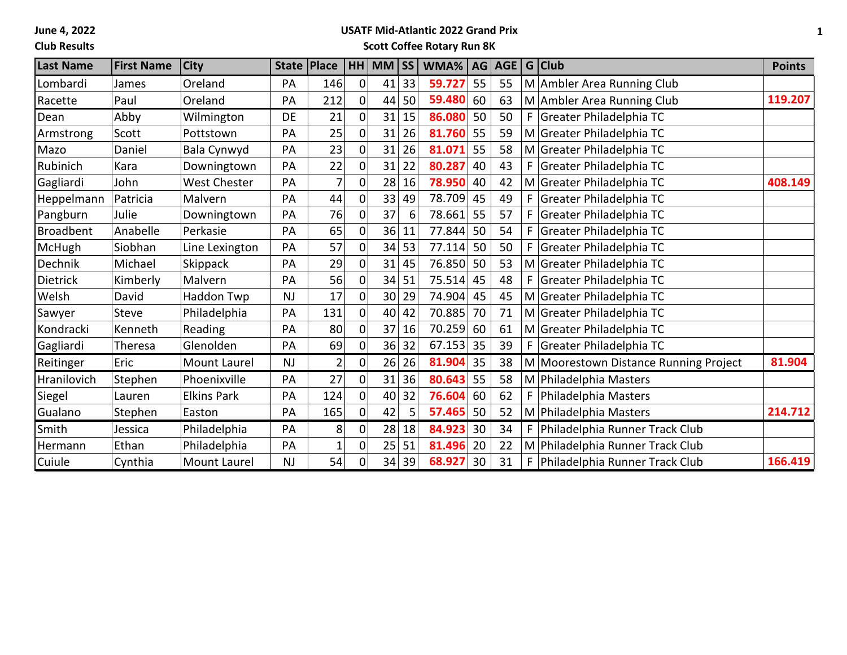**June 4, 2022**

## **Club Results**

# **USATF Mid-Atlantic 2022 Grand Prix**

**Scott Coffee Rotary Run 8K**

| <b>Last Name</b> | <b>First Name</b> | <b>City</b>         |           | State   Place |             | HH MM SS        |       | WMA%   AG   AGE   G   Club |    |    |    |                                       | <b>Points</b> |
|------------------|-------------------|---------------------|-----------|---------------|-------------|-----------------|-------|----------------------------|----|----|----|---------------------------------------|---------------|
| Lombardi         | James             | Oreland             | PА        | 146           | $\mathbf 0$ | 41              | 33    | 59.727                     | 55 | 55 |    | M Ambler Area Running Club            |               |
| Racette          | Paul              | Oreland             | PA        | 212           | 0           | 44              | 50    | 59.480                     | 60 | 63 |    | M Ambler Area Running Club            | 119.207       |
| Dean             | Abby              | Wilmington          | DE        | 21            | 0           | 31              | 15    | 86.080                     | 50 | 50 | F. | Greater Philadelphia TC               |               |
| Armstrong        | Scott             | Pottstown           | PA        | 25            | 0           | 31              | 26    | 81.760                     | 55 | 59 |    | M Greater Philadelphia TC             |               |
| Mazo             | Daniel            | Bala Cynwyd         | PA        | 23            | 0           | 31              | 26    | 81.071                     | 55 | 58 |    | M Greater Philadelphia TC             |               |
| Rubinich         | Kara              | Downingtown         | PA        | 22            | $\Omega$    | 31              | 22    | 80.287                     | 40 | 43 | F  | Greater Philadelphia TC               |               |
| Gagliardi        | John              | <b>West Chester</b> | PA        |               | $\Omega$    | 28              | 16    | 78.950                     | 40 | 42 |    | M Greater Philadelphia TC             | 408.149       |
| Heppelmann       | Patricia          | Malvern             | PA        | 44            | $\Omega$    | 33              | 49    | 78.709                     | 45 | 49 | F  | Greater Philadelphia TC               |               |
| Pangburn         | Julie             | Downingtown         | PA        | 76            | 0           | 37              | 6     | 78.661                     | 55 | 57 | F  | Greater Philadelphia TC               |               |
| <b>Broadbent</b> | Anabelle          | Perkasie            | PA        | 65            | 0           | 36              | 11    | 77.844                     | 50 | 54 | F  | Greater Philadelphia TC               |               |
| McHugh           | Siobhan           | Line Lexington      | PA        | 57            | 0           | 34              | 53    | 77.114                     | 50 | 50 | F  | Greater Philadelphia TC               |               |
| Dechnik          | Michael           | Skippack            | PA        | 29            | 0           | 31              | 45    | 76.850                     | 50 | 53 |    | M Greater Philadelphia TC             |               |
| <b>Dietrick</b>  | Kimberly          | Malvern             | PA        | 56            | 0           | 34              | 51    | 75.514                     | 45 | 48 | F  | Greater Philadelphia TC               |               |
| Welsh            | David             | Haddon Twp          | NJ        | 17            | 0           | 30 <sup>1</sup> | 29    | 74.904                     | 45 | 45 |    | M Greater Philadelphia TC             |               |
| Sawyer           | <b>Steve</b>      | Philadelphia        | PA        | 131           | 0           | 40              | 42    | 70.885                     | 70 | 71 |    | M Greater Philadelphia TC             |               |
| Kondracki        | Kenneth           | Reading             | PA        | 80            | 0           | 37              | 16    | 70.259 60                  |    | 61 |    | M Greater Philadelphia TC             |               |
| Gagliardi        | Theresa           | Glenolden           | PA        | 69            | 0           | 36              | 32    | 67.153                     | 35 | 39 | F. | Greater Philadelphia TC               |               |
| Reitinger        | Eric              | Mount Laurel        | <b>NJ</b> | 2             | 0           |                 | 26 26 | 81.904                     | 35 | 38 |    | M Moorestown Distance Running Project | 81.904        |
| Hranilovich      | Stephen           | Phoenixville        | PA        | 27            | 0           | 31              | 36    | 80.643                     | 55 | 58 |    | M Philadelphia Masters                |               |
| Siegel           | Lauren            | <b>Elkins Park</b>  | PA        | 124           | 0           | 40              | 32    | 76.604                     | 60 | 62 | F  | Philadelphia Masters                  |               |
| Gualano          | Stephen           | Easton              | PA        | 165           | 0           | 42              | 5.    | 57.465                     | 50 | 52 |    | M Philadelphia Masters                | 214.712       |
| Smith            | Jessica           | Philadelphia        | PA        | 8             | $\Omega$    | 28              | 18    | 84.923                     | 30 | 34 | F  | Philadelphia Runner Track Club        |               |
| Hermann          | Ethan             | Philadelphia        | PA        |               | 0           | 25              | 51    | 81.496                     | 20 | 22 |    | M Philadelphia Runner Track Club      |               |
| Cuiule           | Cynthia           | <b>Mount Laurel</b> | <b>NJ</b> | 54            | 0           | 34              | 39    | 68.927                     | 30 | 31 | F  | Philadelphia Runner Track Club        | 166.419       |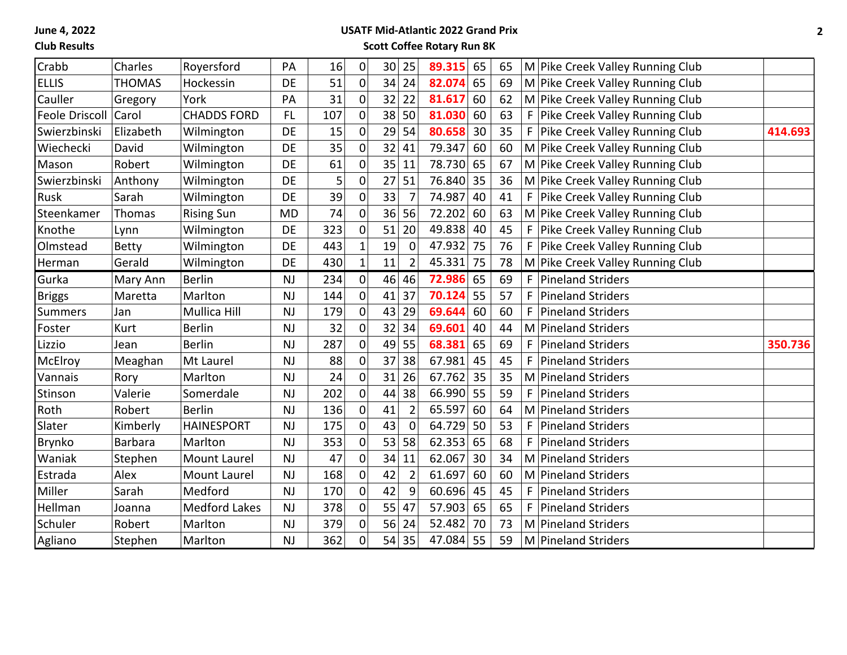**June 4, 2022**

#### **Club Results**

## **USATF Mid-Atlantic 2022 Grand Prix Scott Coffee Rotary Run 8K**

|                |                |                      |           |     |                  |                 |                | 89.315 | 65 |    |                                      |         |
|----------------|----------------|----------------------|-----------|-----|------------------|-----------------|----------------|--------|----|----|--------------------------------------|---------|
| Crabb          | Charles        | Royersford           | PA        | 16  | $\pmb{0}$        | 30 <sup>°</sup> | 25             |        |    | 65 | M Pike Creek Valley Running Club     |         |
| <b>ELLIS</b>   | <b>THOMAS</b>  | Hockessin            | DE        | 51  | $\mathbf 0$      | 34              | 24             | 82.074 | 65 | 69 | M Pike Creek Valley Running Club     |         |
| Cauller        | Gregory        | York                 | PA        | 31  | $\mathbf 0$      | 32              | 22             | 81.617 | 60 | 62 | M Pike Creek Valley Running Club     |         |
| Feole Driscoll | Carol          | <b>CHADDS FORD</b>   | <b>FL</b> | 107 | $\mathbf 0$      | 38              | 50             | 81.030 | 60 | 63 | Pike Creek Valley Running Club<br>F  |         |
| Swierzbinski   | Elizabeth      | Wilmington           | DE        | 15  | $\mathbf 0$      | 29              | 54             | 80.658 | 30 | 35 | F<br>Pike Creek Valley Running Club  | 414.693 |
| Wiechecki      | David          | Wilmington           | DE        | 35  | $\mathbf 0$      | 32              | 41             | 79.347 | 60 | 60 | M Pike Creek Valley Running Club     |         |
| Mason          | Robert         | Wilmington           | DE        | 61  | $\boldsymbol{0}$ | 35              | 11             | 78.730 | 65 | 67 | M Pike Creek Valley Running Club     |         |
| Swierzbinski   | Anthony        | Wilmington           | DE        | 5   | $\overline{0}$   | 27              | 51             | 76.840 | 35 | 36 | M Pike Creek Valley Running Club     |         |
| Rusk           | Sarah          | Wilmington           | DE        | 39  | $\mathbf 0$      | 33              | $\overline{7}$ | 74.987 | 40 | 41 | F.<br>Pike Creek Valley Running Club |         |
| Steenkamer     | Thomas         | <b>Rising Sun</b>    | <b>MD</b> | 74  | $\overline{0}$   | 36              | 56             | 72.202 | 60 | 63 | M Pike Creek Valley Running Club     |         |
| Knothe         | Lynn           | Wilmington           | DE        | 323 | $\mathbf 0$      | 51              | 20             | 49.838 | 40 | 45 | F<br>Pike Creek Valley Running Club  |         |
| Olmstead       | <b>Betty</b>   | Wilmington           | DE        | 443 | $\mathbf 1$      | 19              | $\mathbf 0$    | 47.932 | 75 | 76 | Pike Creek Valley Running Club<br>F  |         |
| Herman         | Gerald         | Wilmington           | DE        | 430 | $\mathbf{1}$     | 11              | $\overline{2}$ | 45.331 | 75 | 78 | M Pike Creek Valley Running Club     |         |
| Gurka          | Mary Ann       | <b>Berlin</b>        | <b>NJ</b> | 234 | $\mathbf 0$      | 46              | 46             | 72.986 | 65 | 69 | F<br><b>Pineland Striders</b>        |         |
| <b>Briggs</b>  | Maretta        | Marlton              | <b>NJ</b> | 144 | $\mathbf 0$      | 41              | 37             | 70.124 | 55 | 57 | F<br><b>Pineland Striders</b>        |         |
| <b>Summers</b> | Jan            | <b>Mullica Hill</b>  | <b>NJ</b> | 179 | $\mathbf 0$      | 43              | 29             | 69.644 | 60 | 60 | F<br><b>Pineland Striders</b>        |         |
| Foster         | Kurt           | <b>Berlin</b>        | <b>NJ</b> | 32  | $\mathbf 0$      | 32              | 34             | 69.601 | 40 | 44 | <b>Pineland Striders</b><br>M        |         |
| Lizzio         | Jean           | <b>Berlin</b>        | <b>NJ</b> | 287 | $\mathbf 0$      | 49              | 55             | 68.381 | 65 | 69 | F<br><b>Pineland Striders</b>        | 350.736 |
| McElroy        | Meaghan        | Mt Laurel            | <b>NJ</b> | 88  | $\mathbf 0$      | 37              | 38             | 67.981 | 45 | 45 | <b>Pineland Striders</b><br>F        |         |
| Vannais        | Rory           | Marlton              | <b>NJ</b> | 24  | $\mathbf 0$      | 31              | 26             | 67.762 | 35 | 35 | M Pineland Striders                  |         |
| Stinson        | Valerie        | Somerdale            | <b>NJ</b> | 202 | 0                | 44              | 38             | 66.990 | 55 | 59 | <b>Pineland Striders</b><br>F.       |         |
| Roth           | Robert         | <b>Berlin</b>        | <b>NJ</b> | 136 | $\mathbf 0$      | 41              | $\overline{2}$ | 65.597 | 60 | 64 | Pineland Striders<br>M               |         |
| Slater         | Kimberly       | <b>HAINESPORT</b>    | <b>NJ</b> | 175 | $\mathbf 0$      | 43              | 0              | 64.729 | 50 | 53 | F<br><b>Pineland Striders</b>        |         |
| <b>Brynko</b>  | <b>Barbara</b> | Marlton              | NJ        | 353 | $\boldsymbol{0}$ | 53              | 58             | 62.353 | 65 | 68 | F<br><b>Pineland Striders</b>        |         |
| Waniak         | Stephen        | <b>Mount Laurel</b>  | NJ        | 47  | $\overline{0}$   | 34              | 11             | 62.067 | 30 | 34 | <b>Pineland Striders</b><br>M        |         |
| Estrada        | Alex           | Mount Laurel         | NJ        | 168 | $\mathbf 0$      | 42              | $\overline{2}$ | 61.697 | 60 | 60 | <b>Pineland Striders</b><br>M        |         |
| Miller         | Sarah          | Medford              | <b>NJ</b> | 170 | $\mathbf 0$      | 42              | 9              | 60.696 | 45 | 45 | F<br><b>Pineland Striders</b>        |         |
| Hellman        | Joanna         | <b>Medford Lakes</b> | <b>NJ</b> | 378 | $\mathbf 0$      | 55              | 47             | 57.903 | 65 | 65 | F.<br><b>Pineland Striders</b>       |         |
| Schuler        | Robert         | Marlton              | <b>NJ</b> | 379 | $\mathbf 0$      | 56              | 24             | 52.482 | 70 | 73 | <b>Pineland Striders</b><br>M        |         |
| Agliano        | Stephen        | Marlton              | NJ        | 362 | $\overline{0}$   | 54              | 35             | 47.084 | 55 | 59 | M Pineland Striders                  |         |